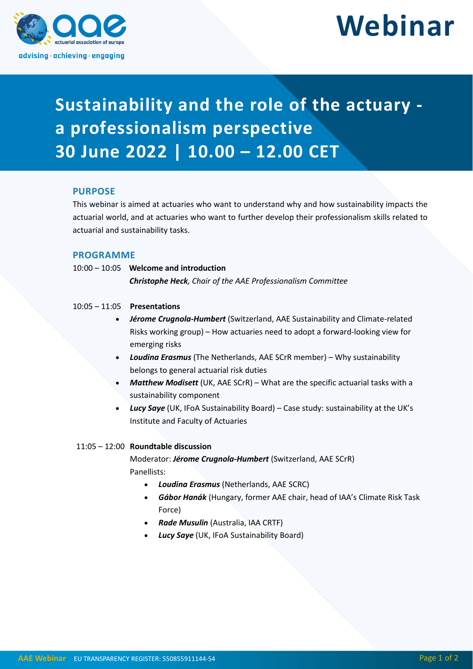

# **Webinar**

## **Sustainability and the role of the actuary a professionalism perspective 30 June 2022 | 10.00 – 12.00 CET**

#### **PURPOSE**

This webinar is aimed at actuaries who want to understand why and how sustainability impacts the actuarial world, and at actuaries who want to further develop their professionalism skills related to actuarial and sustainability tasks.

### **PROGRAMME**

10:00 – 10:05 **Welcome and introduction**

*Christophe Heck, Chair of the AAE Professionalism Committee*

#### 10:05 – 11:05 **Presentations**

- *Jérome Crugnola-Humbert* (Switzerland, AAE Sustainability and Climate-related Risks working group) – How actuaries need to adopt a forward-looking view for emerging risks
- *Loudina Erasmus* (The Netherlands, AAE SCrR member) Why sustainability belongs to general actuarial risk duties
- *Matthew Modisett* (UK, AAE SCrR) What are the specific actuarial tasks with a sustainability component
- *Lucy Saye* (UK, IFoA Sustainability Board) Case study: sustainability at the UK's Institute and Faculty of Actuaries

#### 11:05 – 12:00 **Roundtable discussion**

Moderator: *Jérome Crugnola-Humbert* (Switzerland, AAE SCrR) Panellists:

- *Loudina Erasmus* (Netherlands, AAE SCRC)
- *Gábor Hanák* (Hungary, former AAE chair, head of IAA's Climate Risk Task Force)
- *Rade Musulin* (Australia, IAA CRTF)
- *Lucy Saye* (UK, IFoA Sustainability Board)